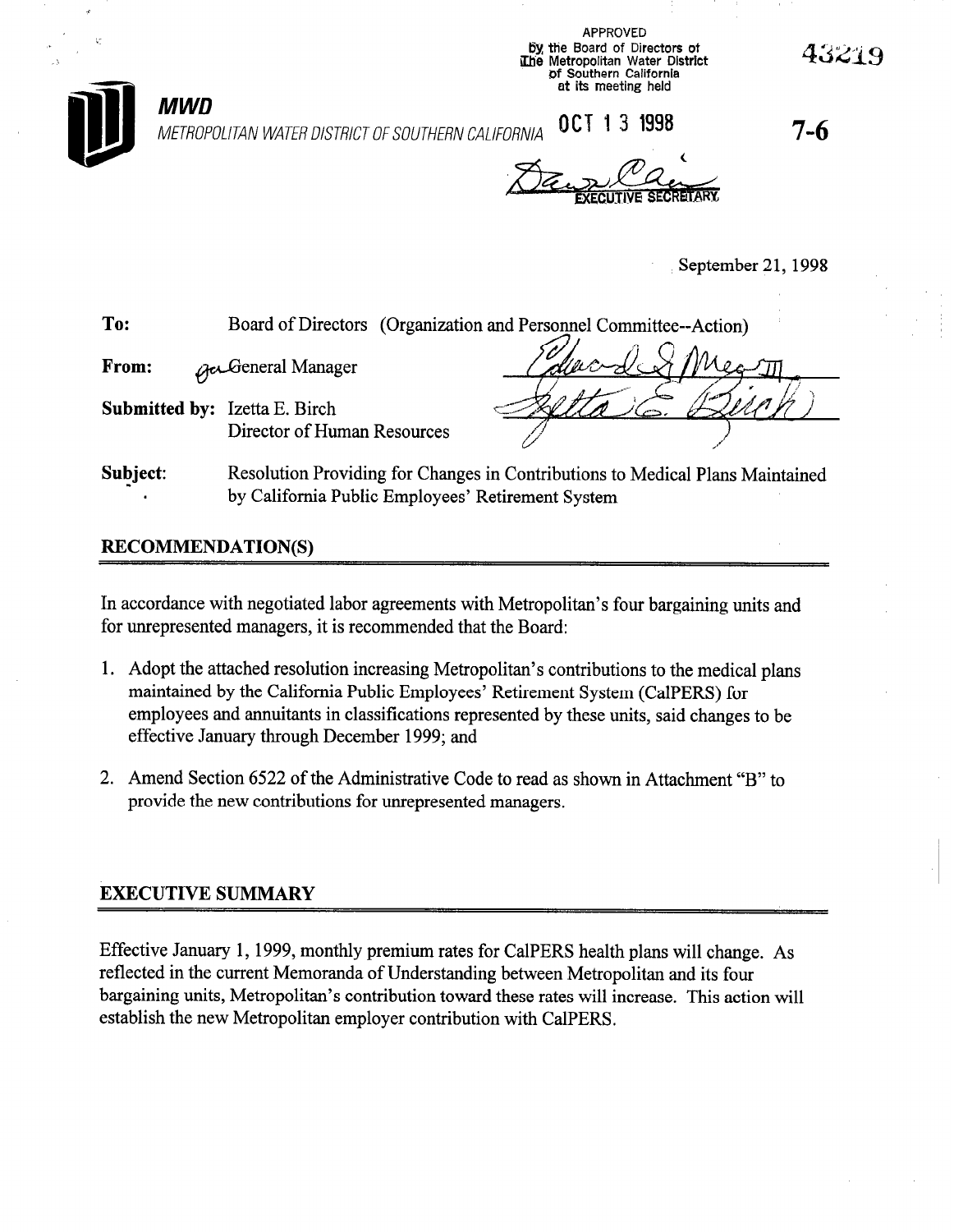

**MWD** 

\_i

APPROVED by the Board of Directors of The Metropolitan Water District of Southern California at its meeting held

43219

7-6

September 21, 1998

# **To:** Board of Directors (Organization and Personnel Committee--Action From: **Accidemental Manager**

METROPOLITAN WATERDISTRICTOFSOUTHERN CALIFORNIA QCT I 3 1998

Submitted by: Izetta E. Birch Director of Human Resources

t

Subject: . Resolution Providing for Changes in Contributions to Medical Plans Maintained by California Public Employees' Retirement System

# RECOMMENDATION(S)

In accordance with negotiated labor agreements with Metropolitan's four bargaining units and for unrepresented managers, it is recommended that the Board:

- 1. Adopt the attached resolution increasing Metropolitan's contributions to the medical plans maintained by the California Public Employees' Retirement System (CalPERS) for employees and annuitants in classifications represented by these units, said changes to be effective January through December 1999; and
- 2. Amend Section 6522 of the Administrative Code to read as shown in Attachment "B" to provide the new contributions for unrepresented managers.

# EXECUTIVE SUMMARY

Effective January 1, 1999, monthly premium rates for CalPERS health plans will change. As reflected in the current Memoranda of Understanding between Metropolitan and its four bargaining units, Metropolitan's contribution toward these rates will increase. This action will establish the new Metropolitan employer contribution with CalPERS.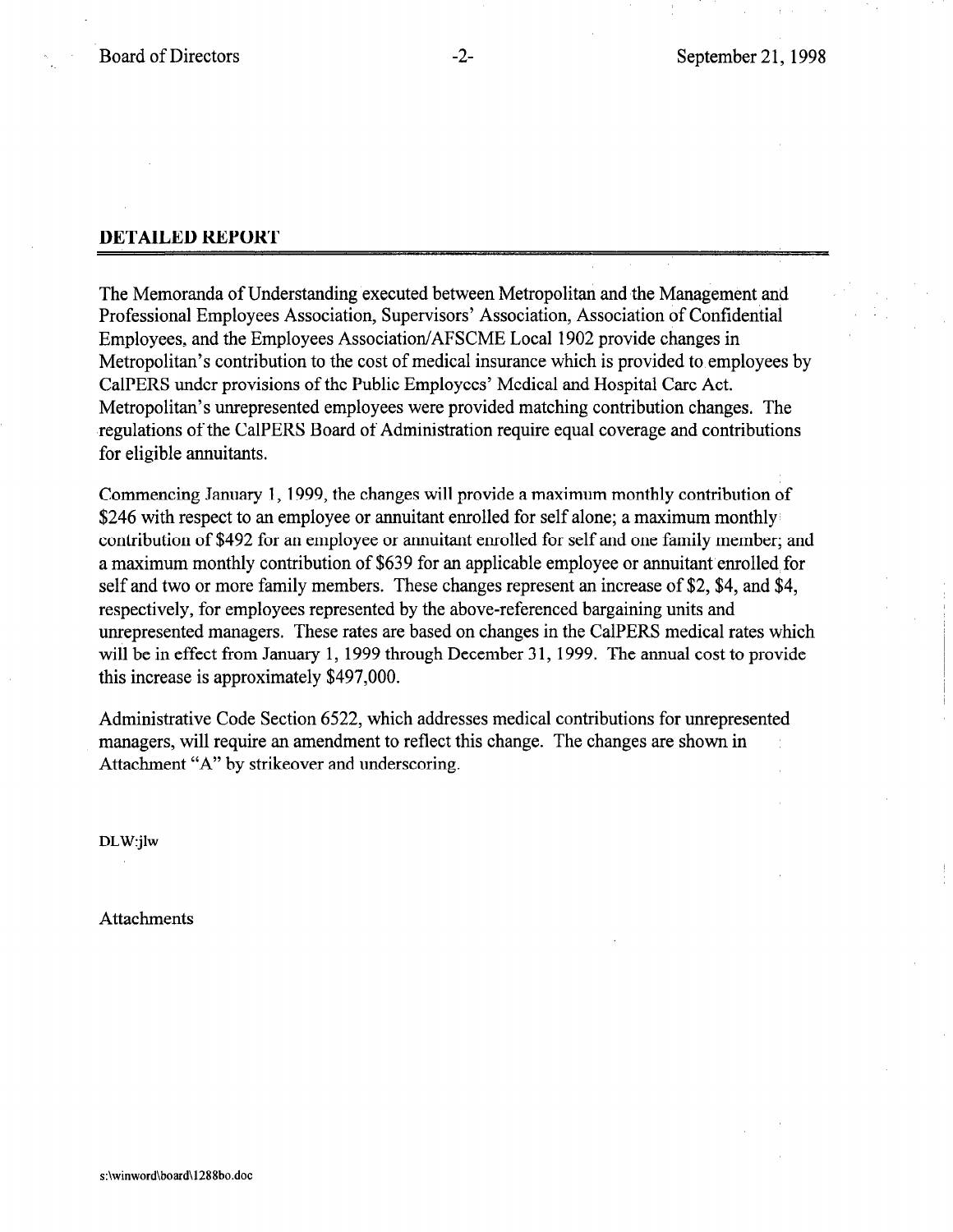## DETAILED REPORT

The Memoranda of Understanding executed between Metropolitan and the Management and Professional Employees Association, Supervisors' Association, Association of Confidential Employees, and the Employees Association/AFSCME Local 1902 provide changes in Metropolitan's contribution to the cost of medical insurance which is provided to employees by CalPERS under provisions of the Public Employees' Medical and Hospital Care Act. Metropolitan's unrepresented employees were provided matching contribution changes. The regulations of the CalPERS Board of Administration require equal coverage and contributions for eligible annuitants.

Commencing January 1, 1999, the changes will provide a maximum monthly contribution of \$246 with respect to an employee or annuitant enrolled for self alone; a maximum monthly contribution of \$492 for an employee or annuitant enrolled for self and one family member; and a maximum monthly contribution of \$639 for an applicable employee or annuitant enrolled for self and two or more family members. These changes represent an increase of \$2, \$4, and \$4, respectively, for employees represented by the above-referenced bargaining units and unrepresented managers. These rates are based on changes in the CalPERS medical rates which will be in effect from January 1, 1999 through December 31, 1999. The annual cost to provide this increase is approximately \$497,000.

Administrative Code Section 6522, which addresses medical contributions for unrepresented managers, will require an amendment to reflect this change. The changes are shown in Attachment "A" by strikeover and underscoring.

DLW:jlw

Attachments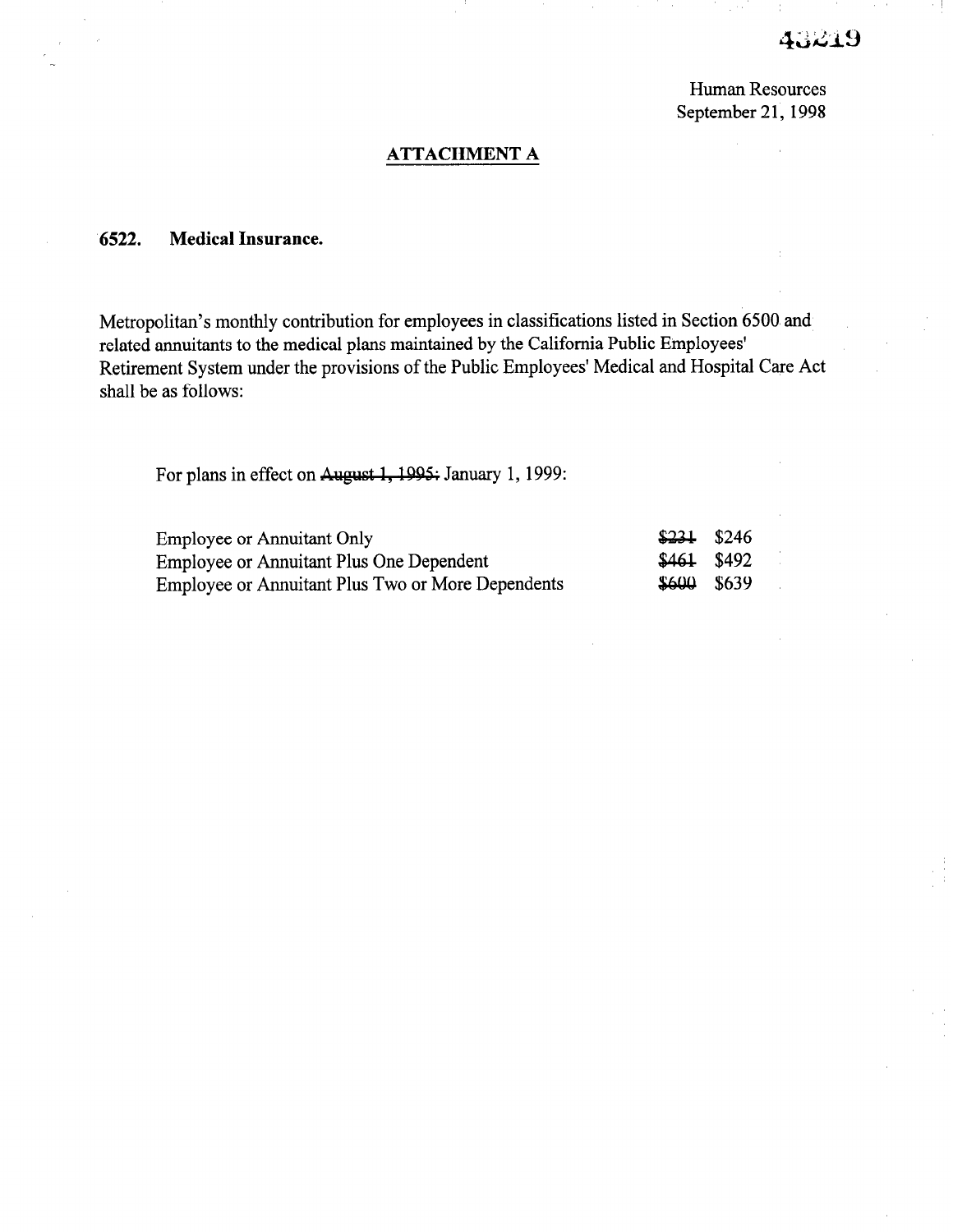# 43219

Human Resources September 21, 1998

#### ATTACHMENT A

## 6522. Medical Insurance.

Metropolitan's monthly contribution for employees in classifications listed in Section 6500 and related annuitants to the medical plans maintained by the California Public Employees' Retirement System under the provisions of the Public Employees' Medical and Hospital Care Act shall be as follows:

For plans in effect on August 1, 1995; January 1, 1999:

| Employee or Annuitant Only                               | $$231$ \$246  |  |
|----------------------------------------------------------|---------------|--|
| <b>Employee or Annuitant Plus One Dependent</b>          | $$461$ $$492$ |  |
| <b>Employee or Annuitant Plus Two or More Dependents</b> | $$600$ $$639$ |  |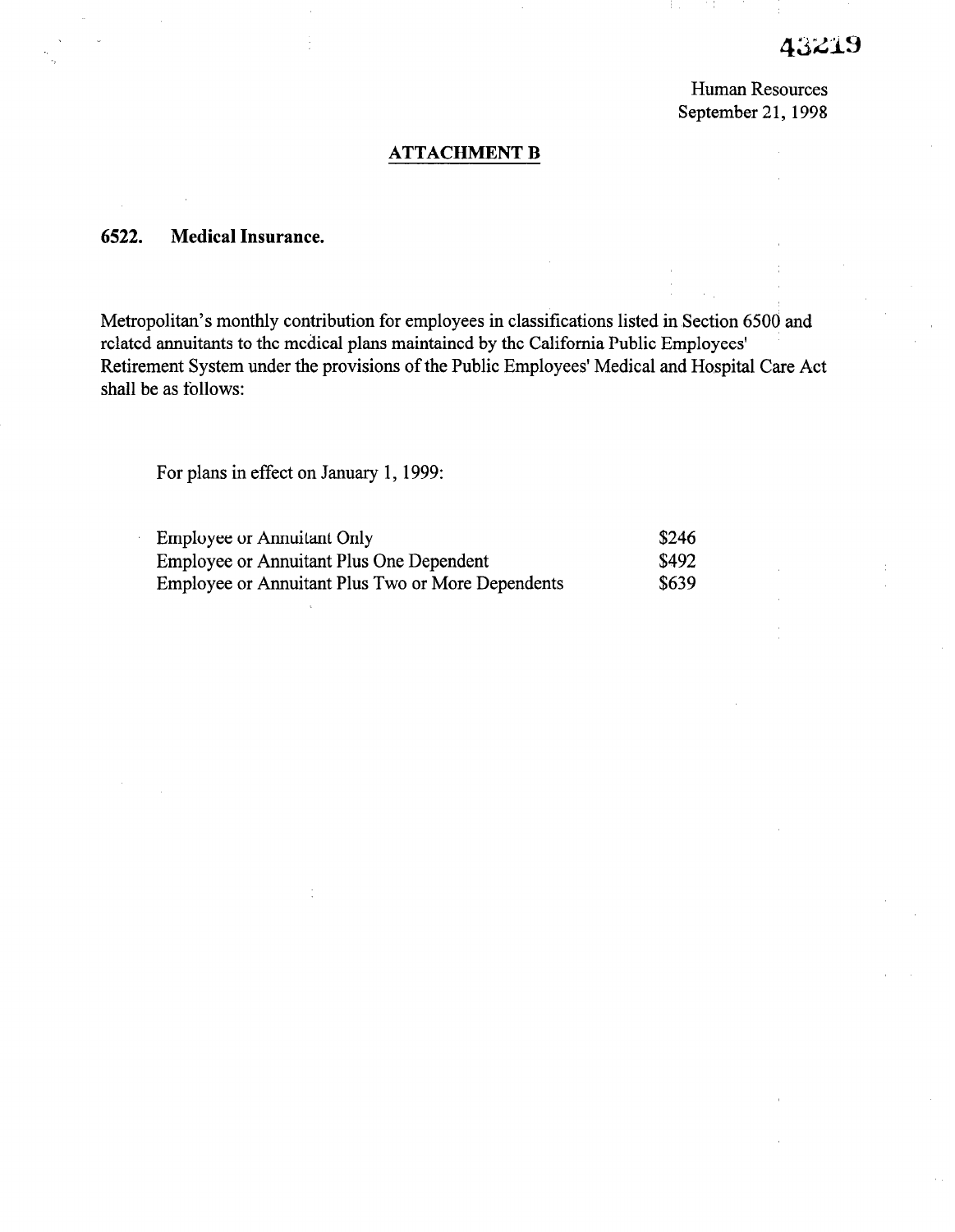# 3219

Human Resources September 21, 1998

#### ATTACHMENT B

### 6522. Medical Insurance.

Metropolitan's monthly contribution for employees in classifications listed in Section 6500 and related annuitants to the medical plans maintained by the California Public Employees' Retirement System under the provisions of the Public Employees' Medical and Hospital Care Act shall be as follows:

For plans in effect on January 1, 1999:

| <b>Employee or Annuitant Only</b>                 | \$246 |
|---------------------------------------------------|-------|
| Employee or Annuitant Plus One Dependent          | \$492 |
| Employee or Annuitant Plus Two or More Dependents | \$639 |